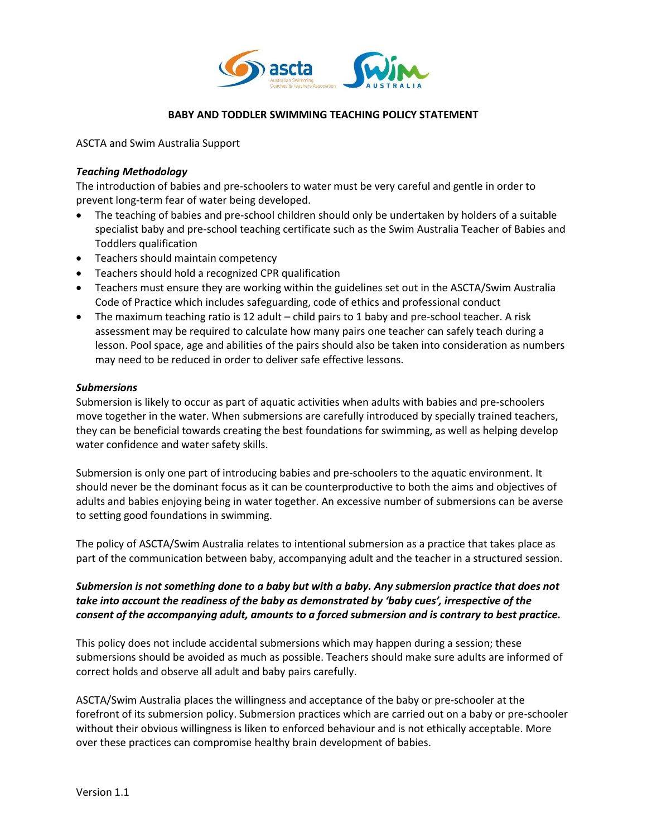

#### **BABY AND TODDLER SWIMMING TEACHING POLICY STATEMENT**

ASCTA and Swim Australia Support

### *Teaching Methodology*

The introduction of babies and pre-schoolers to water must be very careful and gentle in order to prevent long-term fear of water being developed.

- The teaching of babies and pre-school children should only be undertaken by holders of a suitable specialist baby and pre-school teaching certificate such as the Swim Australia Teacher of Babies and Toddlers qualification
- Teachers should maintain competency
- Teachers should hold a recognized CPR qualification
- Teachers must ensure they are working within the guidelines set out in the ASCTA/Swim Australia Code of Practice which includes safeguarding, code of ethics and professional conduct
- The maximum teaching ratio is 12 adult child pairs to 1 baby and pre-school teacher. A risk assessment may be required to calculate how many pairs one teacher can safely teach during a lesson. Pool space, age and abilities of the pairs should also be taken into consideration as numbers may need to be reduced in order to deliver safe effective lessons.

#### *Submersions*

Submersion is likely to occur as part of aquatic activities when adults with babies and pre-schoolers move together in the water. When submersions are carefully introduced by specially trained teachers, they can be beneficial towards creating the best foundations for swimming, as well as helping develop water confidence and water safety skills.

Submersion is only one part of introducing babies and pre-schoolers to the aquatic environment. It should never be the dominant focus as it can be counterproductive to both the aims and objectives of adults and babies enjoying being in water together. An excessive number of submersions can be averse to setting good foundations in swimming.

The policy of ASCTA/Swim Australia relates to intentional submersion as a practice that takes place as part of the communication between baby, accompanying adult and the teacher in a structured session.

# *Submersion is not something done to a baby but with a baby. Any submersion practice that does not take into account the readiness of the baby as demonstrated by 'baby cues', irrespective of the consent of the accompanying adult, amounts to a forced submersion and is contrary to best practice.*

This policy does not include accidental submersions which may happen during a session; these submersions should be avoided as much as possible. Teachers should make sure adults are informed of correct holds and observe all adult and baby pairs carefully.

ASCTA/Swim Australia places the willingness and acceptance of the baby or pre-schooler at the forefront of its submersion policy. Submersion practices which are carried out on a baby or pre-schooler without their obvious willingness is liken to enforced behaviour and is not ethically acceptable. More over these practices can compromise healthy brain development of babies.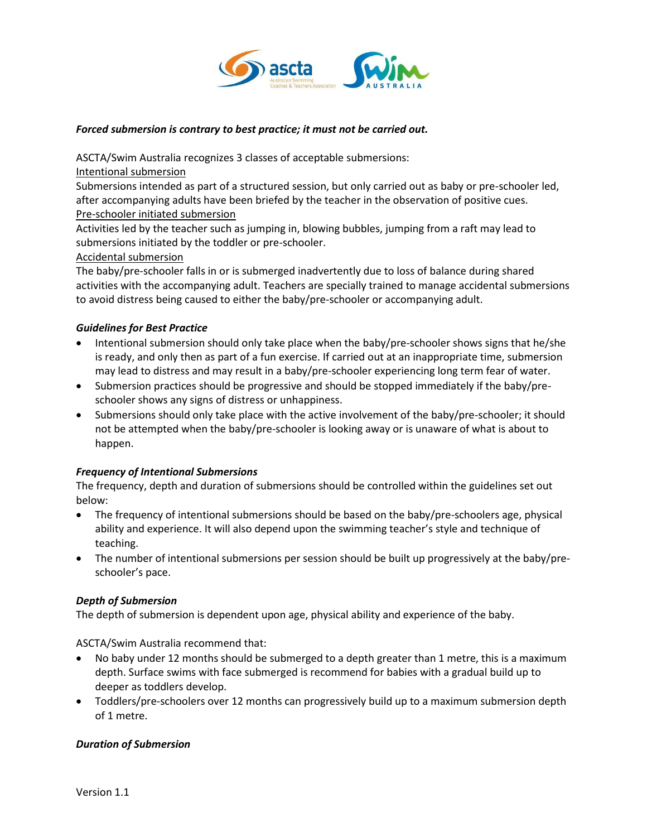

### *Forced submersion is contrary to best practice; it must not be carried out.*

ASCTA/Swim Australia recognizes 3 classes of acceptable submersions:

Intentional submersion

Submersions intended as part of a structured session, but only carried out as baby or pre-schooler led, after accompanying adults have been briefed by the teacher in the observation of positive cues. Pre-schooler initiated submersion

Activities led by the teacher such as jumping in, blowing bubbles, jumping from a raft may lead to submersions initiated by the toddler or pre-schooler.

# Accidental submersion

The baby/pre-schooler falls in or is submerged inadvertently due to loss of balance during shared activities with the accompanying adult. Teachers are specially trained to manage accidental submersions to avoid distress being caused to either the baby/pre-schooler or accompanying adult.

# *Guidelines for Best Practice*

- Intentional submersion should only take place when the baby/pre-schooler shows signs that he/she is ready, and only then as part of a fun exercise. If carried out at an inappropriate time, submersion may lead to distress and may result in a baby/pre-schooler experiencing long term fear of water.
- Submersion practices should be progressive and should be stopped immediately if the baby/preschooler shows any signs of distress or unhappiness.
- Submersions should only take place with the active involvement of the baby/pre-schooler; it should not be attempted when the baby/pre-schooler is looking away or is unaware of what is about to happen.

# *Frequency of Intentional Submersions*

The frequency, depth and duration of submersions should be controlled within the guidelines set out below:

- The frequency of intentional submersions should be based on the baby/pre-schoolers age, physical ability and experience. It will also depend upon the swimming teacher's style and technique of teaching.
- The number of intentional submersions per session should be built up progressively at the baby/preschooler's pace.

# *Depth of Submersion*

The depth of submersion is dependent upon age, physical ability and experience of the baby.

ASCTA/Swim Australia recommend that:

- No baby under 12 months should be submerged to a depth greater than 1 metre, this is a maximum depth. Surface swims with face submerged is recommend for babies with a gradual build up to deeper as toddlers develop.
- Toddlers/pre-schoolers over 12 months can progressively build up to a maximum submersion depth of 1 metre.

# *Duration of Submersion*